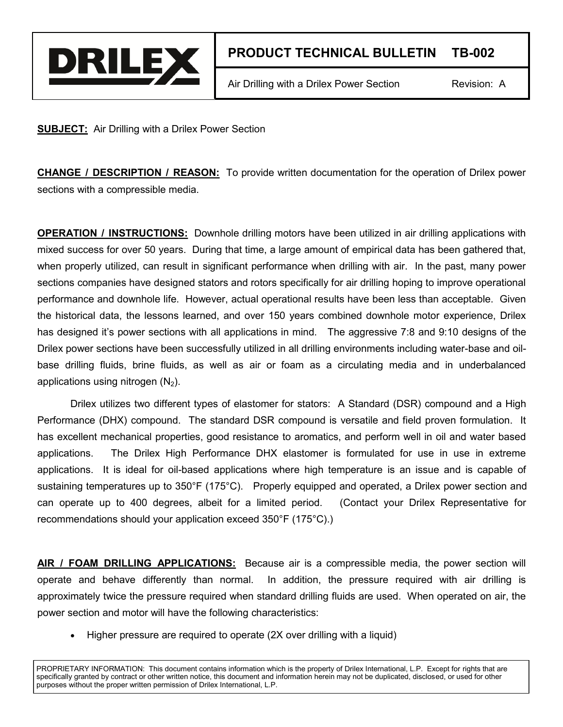

Air Drilling with a Drilex Power Section **Revision: A** 

**SUBJECT:** Air Drilling with a Drilex Power Section

**CHANGE / DESCRIPTION / REASON:** To provide written documentation for the operation of Drilex power sections with a compressible media.

**OPERATION / INSTRUCTIONS:** Downhole drilling motors have been utilized in air drilling applications with mixed success for over 50 years. During that time, a large amount of empirical data has been gathered that, when properly utilized, can result in significant performance when drilling with air. In the past, many power sections companies have designed stators and rotors specifically for air drilling hoping to improve operational performance and downhole life. However, actual operational results have been less than acceptable. Given the historical data, the lessons learned, and over 150 years combined downhole motor experience, Drilex has designed it's power sections with all applications in mind. The aggressive 7:8 and 9:10 designs of the Drilex power sections have been successfully utilized in all drilling environments including water-base and oilbase drilling fluids, brine fluids, as well as air or foam as a circulating media and in underbalanced applications using nitrogen  $(N_2)$ .

Drilex utilizes two different types of elastomer for stators: A Standard (DSR) compound and a High Performance (DHX) compound. The standard DSR compound is versatile and field proven formulation. It has excellent mechanical properties, good resistance to aromatics, and perform well in oil and water based applications. The Drilex High Performance DHX elastomer is formulated for use in use in extreme applications. It is ideal for oil-based applications where high temperature is an issue and is capable of sustaining temperatures up to 350°F (175°C). Properly equipped and operated, a Drilex power section and can operate up to 400 degrees, albeit for a limited period. (Contact your Drilex Representative for recommendations should your application exceed 350°F (175°C).)

**AIR / FOAM DRILLING APPLICATIONS:** Because air is a compressible media, the power section will operate and behave differently than normal. In addition, the pressure required with air drilling is approximately twice the pressure required when standard drilling fluids are used. When operated on air, the power section and motor will have the following characteristics:

• Higher pressure are required to operate (2X over drilling with a liquid)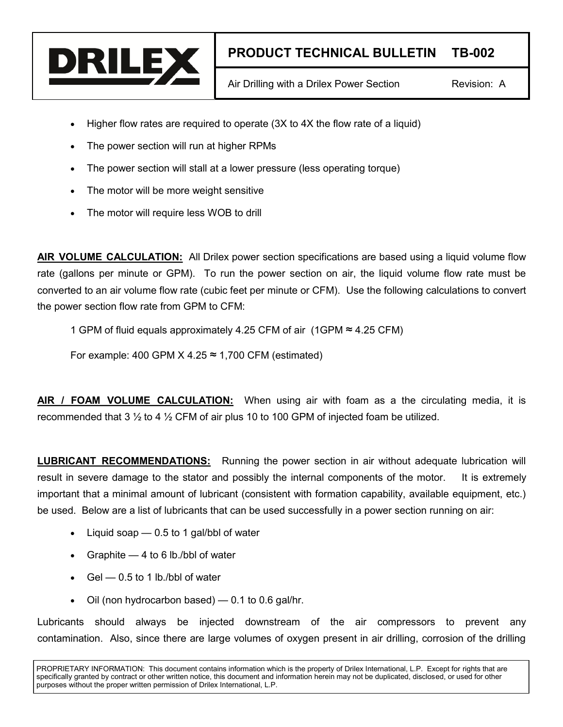

Air Drilling with a Drilex Power Section Revision: A

- Higher flow rates are required to operate (3X to 4X the flow rate of a liquid)
- The power section will run at higher RPMs
- The power section will stall at a lower pressure (less operating torque)
- The motor will be more weight sensitive
- The motor will require less WOB to drill

**AIR VOLUME CALCULATION:** All Drilex power section specifications are based using a liquid volume flow rate (gallons per minute or GPM). To run the power section on air, the liquid volume flow rate must be converted to an air volume flow rate (cubic feet per minute or CFM). Use the following calculations to convert the power section flow rate from GPM to CFM:

1 GPM of fluid equals approximately 4.25 CFM of air (1GPM ≈ 4.25 CFM)

For example: 400 GPM X 4.25  $\approx$  1,700 CFM (estimated)

**AIR / FOAM VOLUME CALCULATION:** When using air with foam as a the circulating media, it is recommended that 3  $\frac{1}{2}$  to 4  $\frac{1}{2}$  CFM of air plus 10 to 100 GPM of injected foam be utilized.

**LUBRICANT RECOMMENDATIONS:** Running the power section in air without adequate lubrication will result in severe damage to the stator and possibly the internal components of the motor. It is extremely important that a minimal amount of lubricant (consistent with formation capability, available equipment, etc.) be used. Below are a list of lubricants that can be used successfully in a power section running on air:

- Liquid soap  $-$  0.5 to 1 gal/bbl of water
- Graphite  $-4$  to 6 lb./bbl of water
- Gel  $-$  0.5 to 1 lb./bbl of water
- Oil (non hydrocarbon based)  $-0.1$  to 0.6 gal/hr.

Lubricants should always be injected downstream of the air compressors to prevent any contamination. Also, since there are large volumes of oxygen present in air drilling, corrosion of the drilling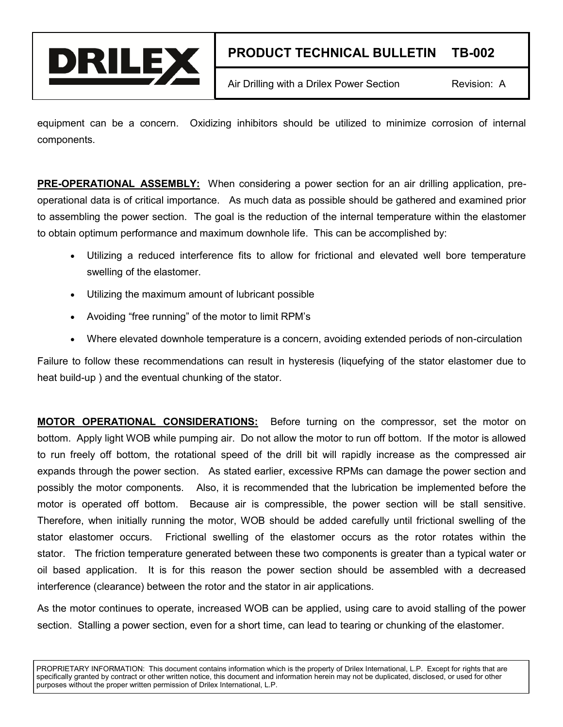

## **PRODUCT TECHNICAL BULLETIN TB-002**

Air Drilling with a Drilex Power Section Revision: A

equipment can be a concern. Oxidizing inhibitors should be utilized to minimize corrosion of internal components.

**PRE-OPERATIONAL ASSEMBLY:** When considering a power section for an air drilling application, preoperational data is of critical importance. As much data as possible should be gathered and examined prior to assembling the power section. The goal is the reduction of the internal temperature within the elastomer to obtain optimum performance and maximum downhole life. This can be accomplished by:

- Utilizing a reduced interference fits to allow for frictional and elevated well bore temperature swelling of the elastomer.
- Utilizing the maximum amount of lubricant possible
- Avoiding "free running" of the motor to limit RPM's
- Where elevated downhole temperature is a concern, avoiding extended periods of non-circulation

Failure to follow these recommendations can result in hysteresis (liquefying of the stator elastomer due to heat build-up ) and the eventual chunking of the stator.

**MOTOR OPERATIONAL CONSIDERATIONS:** Before turning on the compressor, set the motor on bottom. Apply light WOB while pumping air. Do not allow the motor to run off bottom. If the motor is allowed to run freely off bottom, the rotational speed of the drill bit will rapidly increase as the compressed air expands through the power section. As stated earlier, excessive RPMs can damage the power section and possibly the motor components. Also, it is recommended that the lubrication be implemented before the motor is operated off bottom. Because air is compressible, the power section will be stall sensitive. Therefore, when initially running the motor, WOB should be added carefully until frictional swelling of the stator elastomer occurs. Frictional swelling of the elastomer occurs as the rotor rotates within the stator. The friction temperature generated between these two components is greater than a typical water or oil based application. It is for this reason the power section should be assembled with a decreased interference (clearance) between the rotor and the stator in air applications.

As the motor continues to operate, increased WOB can be applied, using care to avoid stalling of the power section. Stalling a power section, even for a short time, can lead to tearing or chunking of the elastomer.